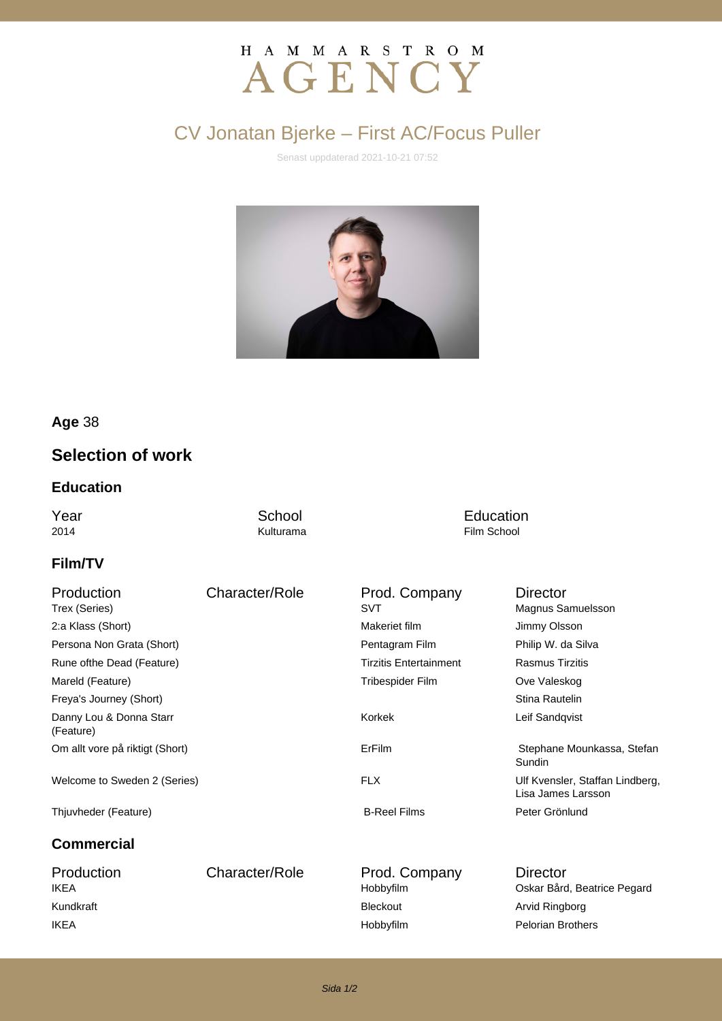# H A M M A R S T R O M AGENCY

## CV Jonatan Bjerke – First AC/Focus Puller

Senast uppdaterad 2021-10-21 07:52



### **Age** 38

### **Selection of work**

#### **Education**

**The School School**<br>
2014 **Education**<br>
2014 **Example 2014 Example 2014 Example 2014 Example 2014 Example 2016** Film School

### **Film/TV**

| Production<br>Trex (Series)          | Character/Role | Prod. Company<br>SVT          | Director<br>Magnus Samuelsson                         |
|--------------------------------------|----------------|-------------------------------|-------------------------------------------------------|
| 2:a Klass (Short)                    |                | Makeriet film                 | Jimmy Olsson                                          |
| Persona Non Grata (Short)            |                | Pentagram Film                | Philip W. da Silva                                    |
| Rune of the Dead (Feature)           |                | <b>Tirzitis Entertainment</b> | <b>Rasmus Tirzitis</b>                                |
| Mareld (Feature)                     |                | Tribespider Film              | Ove Valeskog                                          |
| Freya's Journey (Short)              |                |                               | Stina Rautelin                                        |
| Danny Lou & Donna Starr<br>(Feature) |                | Korkek                        | Leif Sandqvist                                        |
| Om allt vore på riktigt (Short)      |                | ErFilm                        | Stephane Mounkassa, Stefan<br>Sundin                  |
| Welcome to Sweden 2 (Series)         |                | <b>FLX</b>                    | Ulf Kvensler, Staffan Lindberg,<br>Lisa James Larsson |
| Thjuvheder (Feature)                 |                | <b>B-Reel Films</b>           | Peter Grönlund                                        |
| <b>Commercial</b>                    |                |                               |                                                       |
| Production<br><b>IKEA</b>            | Character/Role | Prod. Company<br>Hobbyfilm    | <b>Director</b><br>Oskar Bård, Beatrice Pegard        |
| Kundkraft                            |                | <b>Bleckout</b>               | Arvid Ringborg                                        |

IKEA **IKEA Hobbyfilm** Pelorian Brothers